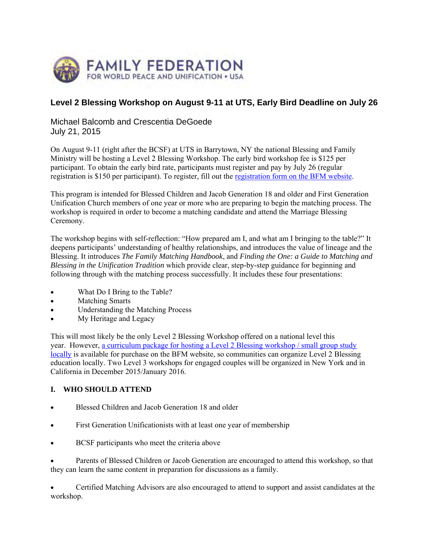

# **Level 2 Blessing Workshop on August 9-11 at UTS, Early Bird Deadline on July 26**

Michael Balcomb and Crescentia DeGoede July 21, 2015

On August 9-11 (right after the BCSF) at UTS in Barrytown, NY the national Blessing and Family Ministry will be hosting a Level 2 Blessing Workshop. The early bird workshop fee is \$125 per participant. To obtain the early bird rate, participants must register and pay by July 26 (regular registration is \$150 per participant). To register, fill out the registration form on the BFM website.

This program is intended for Blessed Children and Jacob Generation 18 and older and First Generation Unification Church members of one year or more who are preparing to begin the matching process. The workshop is required in order to become a matching candidate and attend the Marriage Blessing Ceremony.

The workshop begins with self-reflection: "How prepared am I, and what am I bringing to the table?" It deepens participants' understanding of healthy relationships, and introduces the value of lineage and the Blessing. It introduces *The Family Matching Handbook*, and *Finding the One: a Guide to Matching and Blessing in the Unification Tradition* which provide clear, step-by-step guidance for beginning and following through with the matching process successfully. It includes these four presentations:

- What Do I Bring to the Table?
- Matching Smarts
- Understanding the Matching Process
- My Heritage and Legacy

This will most likely be the only Level 2 Blessing Workshop offered on a national level this year. However, a curriculum package for hosting a Level 2 Blessing workshop / small group study locally is available for purchase on the BFM website, so communities can organize Level 2 Blessing education locally. Two Level 3 workshops for engaged couples will be organized in New York and in California in December 2015/January 2016.

### **I. WHO SHOULD ATTEND**

- Blessed Children and Jacob Generation 18 and older
- First Generation Unificationists with at least one year of membership
- BCSF participants who meet the criteria above

 Parents of Blessed Children or Jacob Generation are encouraged to attend this workshop, so that they can learn the same content in preparation for discussions as a family.

 Certified Matching Advisors are also encouraged to attend to support and assist candidates at the workshop.